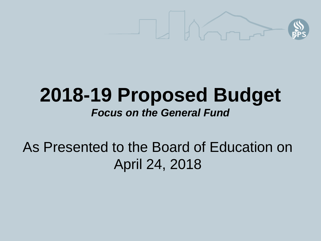

#### **2018-19 Proposed Budget** *Focus on the General Fund*

As Presented to the Board of Education on April 24, 2018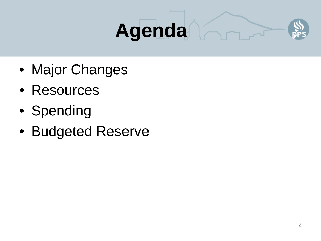# **Agenda**



- Major Changes
- Resources
- Spending
- Budgeted Reserve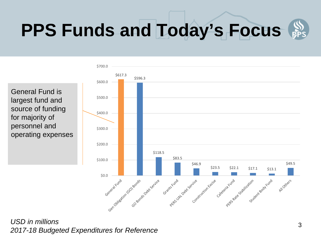### **PPS Funds and Today's Focus**



General Fund is largest fund and source of funding for majority of personnel and operating expenses

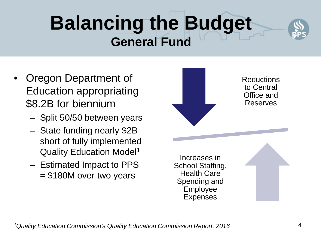#### **Balancing the Budget General Fund**



- Oregon Department of Education appropriating \$8.2B for biennium
	- Split 50/50 between years
	- State funding nearly \$2B short of fully implemented Quality Education Model1
	- Estimated Impact to PPS = \$180M over two years

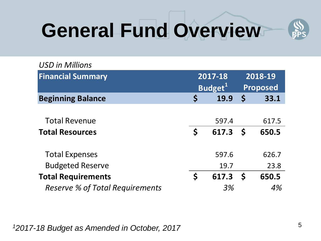## **General Fund Overview**



| <b>USD in Millions</b>                 |                      |       |                 |       |
|----------------------------------------|----------------------|-------|-----------------|-------|
| <b>Financial Summary</b>               | 2017-18              |       | 2018-19         |       |
|                                        | Budget <sup>1</sup>  |       | <b>Proposed</b> |       |
| <b>Beginning Balance</b>               | Ś                    | 19.9  | $\mathsf S$     | 33.1  |
|                                        |                      |       |                 |       |
| <b>Total Revenue</b>                   |                      | 597.4 |                 | 617.5 |
| <b>Total Resources</b>                 | $\mathsf{S}$         | 617.3 | $\mathsf{S}$    | 650.5 |
|                                        |                      |       |                 |       |
| <b>Total Expenses</b>                  |                      | 597.6 |                 | 626.7 |
| <b>Budgeted Reserve</b>                |                      | 19.7  |                 | 23.8  |
| <b>Total Requirements</b>              | $\boldsymbol{\zeta}$ | 617.3 | $\mathsf{S}$    | 650.5 |
| <b>Reserve % of Total Requirements</b> |                      | 3%    |                 | 4%    |

*12017-18 Budget as Amended in October, 2017*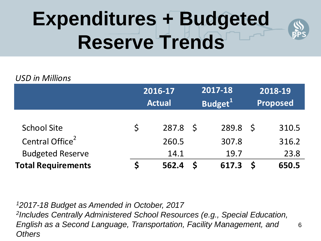## **Expenditures + Budgeted Reserve Trends**



6

#### *USD in Millions*

|                             | 2016-17<br><b>Actual</b> |       |     | 2017-18<br>Budget <sup>1</sup> | 2018-19<br>Proposed |       |
|-----------------------------|--------------------------|-------|-----|--------------------------------|---------------------|-------|
|                             |                          |       |     |                                |                     |       |
| <b>School Site</b>          | $\mathsf{S}$             | 287.8 | S S | 289.8                          | - S                 | 310.5 |
| Central Office <sup>2</sup> |                          | 260.5 |     | 307.8                          |                     | 316.2 |
| <b>Budgeted Reserve</b>     |                          | 14.1  |     | 19.7                           |                     | 23.8  |
| <b>Total Requirements</b>   |                          | 562.4 |     | 617.3                          |                     | 650.5 |

*12017-18 Budget as Amended in October, 2017 2Includes Centrally Administered School Resources (e.g., Special Education, English as a Second Language, Transportation, Facility Management, and Others*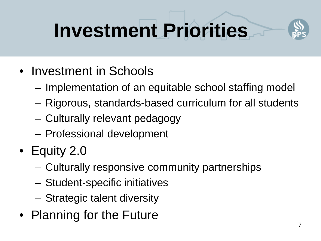## **Investment Priorities**



- Investment in Schools
	- Implementation of an equitable school staffing model
	- Rigorous, standards-based curriculum for all students
	- Culturally relevant pedagogy
	- Professional development
- Equity 2.0
	- Culturally responsive community partnerships
	- Student-specific initiatives
	- Strategic talent diversity
- Planning for the Future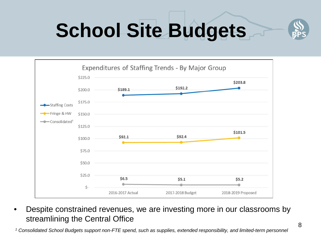# **School Site Budgets**





• Despite constrained revenues, we are investing more in our classrooms by streamlining the Central Office

*<sup>1</sup> Consolidated School Budgets support non-FTE spend, such as supplies, extended responsibility, and limited-term personnel*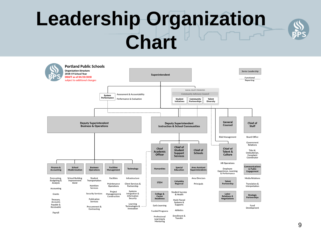### **Leadership Organization Chart**



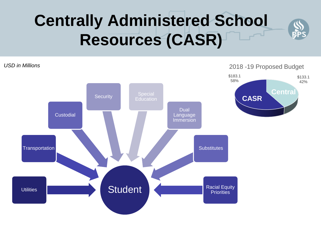#### **Centrally Administered School Resources (CASR)**

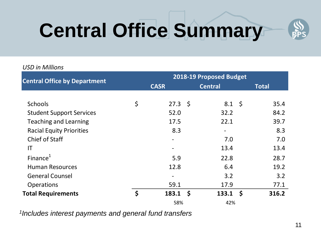# **Central Office Summary**



#### *USD in Millions*

| <b>Central Office by Department</b> | 2018-19 Proposed Budget |                |                   |              |       |  |  |
|-------------------------------------|-------------------------|----------------|-------------------|--------------|-------|--|--|
|                                     | <b>CASR</b>             | <b>Central</b> |                   | <b>Total</b> |       |  |  |
|                                     |                         |                |                   |              |       |  |  |
| <b>Schools</b>                      | \$<br>$27.3 \quad$      |                | $8.1 \; \text{S}$ |              | 35.4  |  |  |
| <b>Student Support Services</b>     | 52.0                    |                | 32.2              |              | 84.2  |  |  |
| <b>Teaching and Learning</b>        | 17.5                    |                | 22.1              |              | 39.7  |  |  |
| <b>Racial Equity Priorities</b>     | 8.3                     |                |                   |              | 8.3   |  |  |
| <b>Chief of Staff</b>               |                         |                | 7.0               |              | 7.0   |  |  |
| IT                                  |                         |                | 13.4              |              | 13.4  |  |  |
| Finance $1$                         | 5.9                     |                | 22.8              |              | 28.7  |  |  |
| <b>Human Resources</b>              | 12.8                    |                | 6.4               |              | 19.2  |  |  |
| <b>General Counsel</b>              |                         |                | 3.2               |              | 3.2   |  |  |
| <b>Operations</b>                   | 59.1                    |                | 17.9              |              | 77.1  |  |  |
| <b>Total Requirements</b>           | \$<br>$183.1 \quad $$   |                | 133.1             | <b>S</b>     | 316.2 |  |  |
|                                     | 58%                     |                | 42%               |              |       |  |  |

*1Includes interest payments and general fund transfers*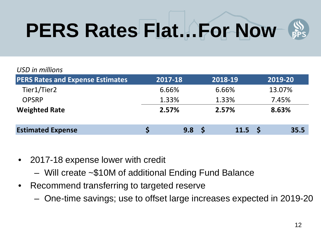## **PERS Rates Flat…For Now**



#### *USD in millions*

| <b>PERS Rates and Expense Estimates</b> | 2017-18 |     |       | 2018-19           | 2019-20 |        |  |
|-----------------------------------------|---------|-----|-------|-------------------|---------|--------|--|
| Tier1/Tier2                             | 6.66%   |     | 6.66% |                   |         | 13.07% |  |
| <b>OPSRP</b>                            | 1.33%   |     |       | 1.33%             | 7.45%   |        |  |
| <b>Weighted Rate</b>                    | 2.57%   |     | 2.57% |                   | 8.63%   |        |  |
| <b>Estimated Expense</b>                |         | 9.8 | - S   | 11.5 <sup>5</sup> |         | 35.5   |  |

- 2017-18 expense lower with credit
	- Will create ~\$10M of additional Ending Fund Balance
- Recommend transferring to targeted reserve
	- One-time savings; use to offset large increases expected in 2019-20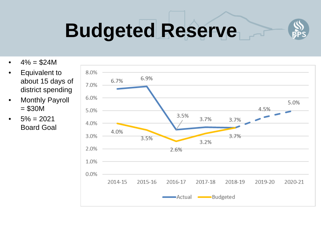

## **Budgeted Reserve**

- $4\% = $24M$
- Equivalent to about 15 days of district spending
- **Monthly Payroll**  $= $30M$
- $5\% = 2021$ Board Goal

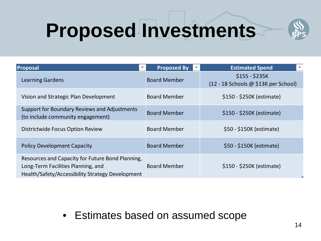## **Proposed Investments**



| <b>Proposal</b>                                                                                                                            | <b>Proposed By</b>  | <b>Estimated Spend</b><br>$\overline{\nabla}$          |
|--------------------------------------------------------------------------------------------------------------------------------------------|---------------------|--------------------------------------------------------|
| <b>Learning Gardens</b>                                                                                                                    | <b>Board Member</b> | $$155 - $235K$<br>(12 - 18 Schools @ \$13K per School) |
| Vision and Strategic Plan Development                                                                                                      | <b>Board Member</b> | \$150 - \$250K (estimate)                              |
| Support for Boundary Reviews and Adjustments<br>(to include community engagement)                                                          | <b>Board Member</b> | \$150 - \$250K (estimate)                              |
| Districtwide Focus Option Review                                                                                                           | <b>Board Member</b> | \$50 - \$150K (estimate)                               |
| <b>Policy Development Capacity</b>                                                                                                         | <b>Board Member</b> | \$50 - \$150K (estimate)                               |
| Resources and Capacity for Future Bond Planning,<br>Long-Term Facilities Planning, and<br>Health/Safety/Accessibility Strategy Development | <b>Board Member</b> | \$150 - \$250K (estimate)                              |

• Estimates based on assumed scope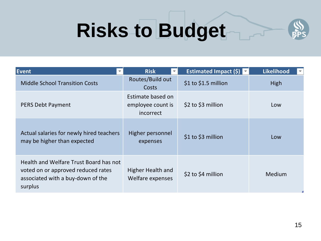## **Risks to Budget**



| Event                                                                                                                        | <b>Risk</b>                                         | <b>Estimated Impact (\$)</b> | Likelihood<br>$\overline{\phantom{0}}$ |  |
|------------------------------------------------------------------------------------------------------------------------------|-----------------------------------------------------|------------------------------|----------------------------------------|--|
| <b>Middle School Transition Costs</b>                                                                                        | Routes/Build out<br><b>Costs</b>                    | \$1 to \$1.5 million         | <b>High</b>                            |  |
| <b>PERS Debt Payment</b>                                                                                                     | Estimate based on<br>employee count is<br>incorrect | \$2 to \$3 million           | Low                                    |  |
| Actual salaries for newly hired teachers<br>may be higher than expected                                                      | Higher personnel<br>expenses                        | \$1 to \$3 million           | Low                                    |  |
| Health and Welfare Trust Board has not<br>voted on or approved reduced rates<br>associated with a buy-down of the<br>surplus | Higher Health and<br>Welfare expenses               | \$2 to \$4 million           | Medium                                 |  |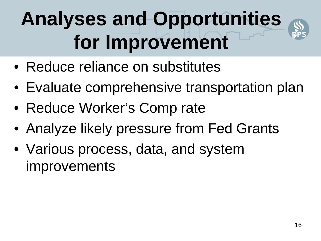## **Analyses and Opportunities for Improvement**



- Reduce reliance on substitutes
- Evaluate comprehensive transportation plan
- Reduce Worker's Comp rate
- Analyze likely pressure from Fed Grants
- Various process, data, and system improvements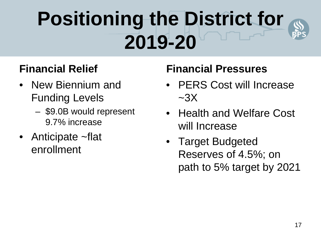## **Positioning the District for 2019-20**



#### **Financial Relief**

- New Biennium and Funding Levels
	- \$9.0B would represent 9.7% increase
- Anticipate ~flat enrollment

#### **Financial Pressures**

- PERS Cost will Increase  $\sim$ 3X
- Health and Welfare Cost will Increase
- Target Budgeted Reserves of 4.5%; on path to 5% target by 2021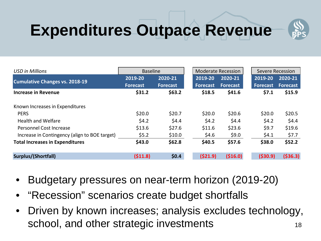### **Expenditures Outpace Revenue**



| <b>USD in Millions</b>                        | <b>Baseline</b> |                 |                 | Moderate Recession |                 | Severe Recession |
|-----------------------------------------------|-----------------|-----------------|-----------------|--------------------|-----------------|------------------|
|                                               | 2019-20         | 2020-21         | 2019-20         | 2020-21            | 2019-20         | 2020-21          |
| <b>Cumulative Changes vs. 2018-19</b>         | <b>Forecast</b> | <b>Forecast</b> | <b>Forecast</b> | Forecast           | <b>Forecast</b> | <b>Forecast</b>  |
| <b>Increase in Revenue</b>                    | \$31.2          | \$63.2\$        | \$18.5          | \$41.6             | \$7.1           | \$15.9           |
| Known Increases in Expenditures               |                 |                 |                 |                    |                 |                  |
| <b>PERS</b>                                   | \$20.0          | \$20.7          | \$20.0          | \$20.6             | \$20.0          | \$20.5           |
| <b>Health and Welfare</b>                     | \$4.2           | \$4.4           | \$4.2           | \$4.4              | \$4.2           | \$4.4            |
| Personnel Cost Increase                       | \$13.6          | \$27.6          | \$11.6          | \$23.6             | \$9.7           | \$19.6           |
| Increase in Contingency (align to BOE target) | \$5.2           | \$10.0          | \$4.6           | \$9.0              | \$4.1           | \$7.7            |
| <b>Total Increases in Expenditures</b>        | \$43.0          | \$62.8          | \$40.5          | \$57.6             | \$38.0          | \$52.2           |
| Surplus/(Shortfall)                           | (511.8)         | \$0.4\$         | (521.9)         | ( \$16.0)          | ( \$30.9)       | ( \$36.3)        |

- Budgetary pressures on near-term horizon (2019-20)
- "Recession" scenarios create budget shortfalls
- 18 • Driven by known increases; analysis excludes technology, school, and other strategic investments